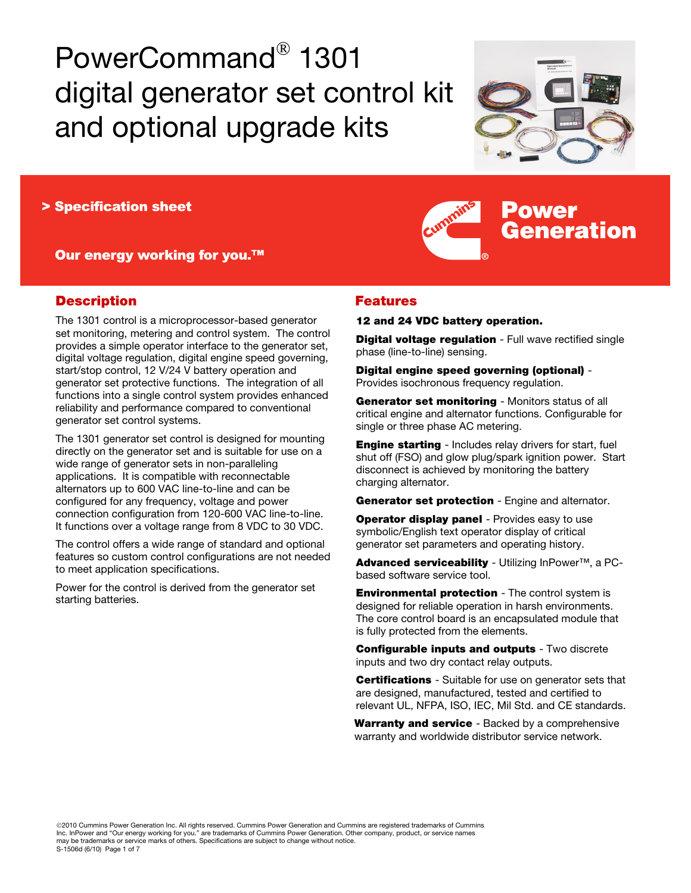# PowerCommand® 1301 digital generator set control kit and optional upgrade kits



Power

Generation

> Specification sheet

Our energy working for you.<sup>™</sup>

# **Description**

The 1301 control is a microprocessor-based generator set monitoring, metering and control system. The control provides a simple operator interface to the generator set, digital voltage regulation, digital engine speed governing, start/stop control, 12 V/24 V battery operation and generator set protective functions. The integration of all functions into a single control system provides enhanced reliability and performance compared to conventional generator set control systems.

The 1301 generator set control is designed for mounting directly on the generator set and is suitable for use on a wide range of generator sets in non-paralleling applications. It is compatible with reconnectable alternators up to 600 VAC line-to-line and can be configured for any frequency, voltage and power connection configuration from 120-600 VAC line-to-line. It functions over a voltage range from 8 VDC to 30 VDC.

The control offers a wide range of standard and optional features so custom control configurations are not needed to meet application specifications.

Power for the control is derived from the generator set starting batteries.

## Features

#### 12 and 24 VDC battery operation.

**Digital voltage regulation** - Full wave rectified single phase (line-to-line) sensing.

Digital engine speed governing (optional) - Provides isochronous frequency regulation.

Generator set monitoring - Monitors status of all critical engine and alternator functions. Configurable for single or three phase AC metering.

**Engine starting** - Includes relay drivers for start, fuel shut off (FSO) and glow plug/spark ignition power. Start disconnect is achieved by monitoring the battery charging alternator.

Generator set protection - Engine and alternator.

**Operator display panel** - Provides easy to use symbolic/English text operator display of critical generator set parameters and operating history.

Advanced serviceability - Utilizing InPower™, a PCbased software service tool.

**Environmental protection** - The control system is designed for reliable operation in harsh environments. The core control board is an encapsulated module that is fully protected from the elements.

Configurable inputs and outputs - Two discrete inputs and two dry contact relay outputs.

**Certifications** - Suitable for use on generator sets that are designed, manufactured, tested and certified to relevant UL, NFPA, ISO, IEC, Mil Std. and CE standards.

Warranty and service - Backed by a comprehensive warranty and worldwide distributor service network.

©2010 Cummins Power Generation Inc. All rights reserved. Cummins Power Generation and Cummins are registered trademarks of Cummins Inc. InPower and "Our energy working for you." are trademarks of Cummins Power Generation. Other company, product, or service names<br>may be trademarks or service marks of others. Specifications are subject to change without S-1506d (6/10) Page 1 of 7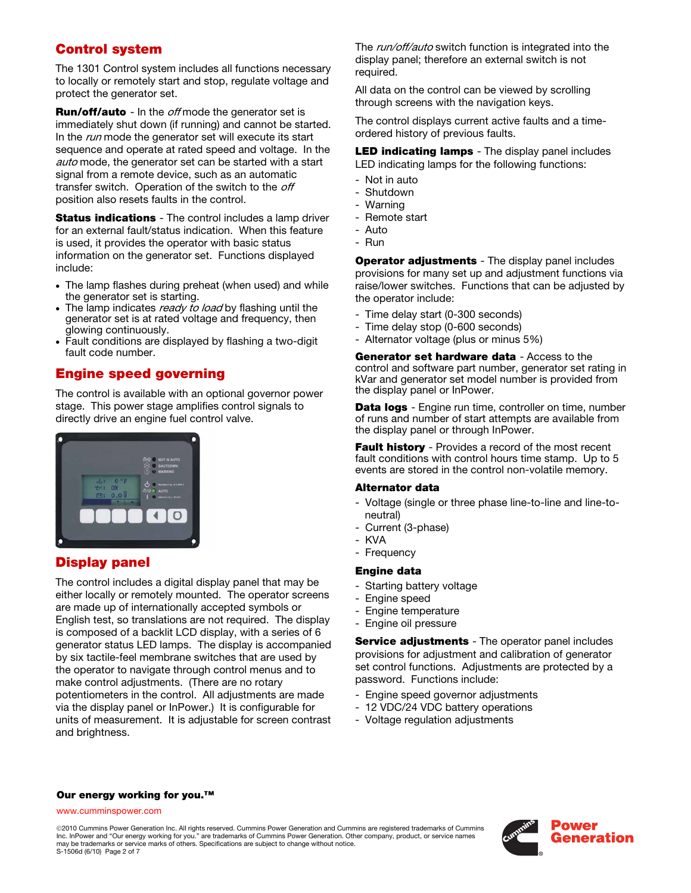# Control system

The 1301 Control system includes all functions necessary to locally or remotely start and stop, regulate voltage and protect the generator set.

**Run/off/auto** - In the *off* mode the generator set is immediately shut down (if running) and cannot be started. In the run mode the generator set will execute its start sequence and operate at rated speed and voltage. In the auto mode, the generator set can be started with a start signal from a remote device, such as an automatic transfer switch. Operation of the switch to the off position also resets faults in the control.

**Status indications** - The control includes a lamp driver for an external fault/status indication. When this feature is used, it provides the operator with basic status information on the generator set. Functions displayed include:

- The lamp flashes during preheat (when used) and while the generator set is starting.
- The lamp indicates ready to load by flashing until the generator set is at rated voltage and frequency, then glowing continuously.
- Fault conditions are displayed by flashing a two-digit fault code number.

# Engine speed governing

The control is available with an optional governor power stage. This power stage amplifies control signals to directly drive an engine fuel control valve.



# Display panel

The control includes a digital display panel that may be either locally or remotely mounted. The operator screens are made up of internationally accepted symbols or English test, so translations are not required. The display is composed of a backlit LCD display, with a series of 6 generator status LED lamps. The display is accompanied by six tactile-feel membrane switches that are used by the operator to navigate through control menus and to make control adjustments. (There are no rotary potentiometers in the control. All adjustments are made via the display panel or InPower.) It is configurable for units of measurement. It is adjustable for screen contrast and brightness.

The *run/off/auto* switch function is integrated into the display panel; therefore an external switch is not required.

All data on the control can be viewed by scrolling through screens with the navigation keys.

The control displays current active faults and a timeordered history of previous faults.

LED indicating lamps - The display panel includes LED indicating lamps for the following functions:

- Not in auto
- Shutdown
- Warning
- Remote start
- Auto
- Run

Operator adjustments - The display panel includes provisions for many set up and adjustment functions via raise/lower switches. Functions that can be adjusted by the operator include:

- Time delay start (0-300 seconds)
- Time delay stop (0-600 seconds)
- Alternator voltage (plus or minus 5%)

Generator set hardware data - Access to the control and software part number, generator set rating in kVar and generator set model number is provided from the display panel or InPower.

Data logs - Engine run time, controller on time, number of runs and number of start attempts are available from the display panel or through InPower.

Fault history - Provides a record of the most recent fault conditions with control hours time stamp. Up to 5 events are stored in the control non-volatile memory.

#### Alternator data

- Voltage (single or three phase line-to-line and line-toneutral)
- Current (3-phase)
- KVA
- Frequency

## Engine data

- Starting battery voltage
- Engine speed
- Engine temperature
- Engine oil pressure

Service adjustments - The operator panel includes provisions for adjustment and calibration of generator set control functions. Adjustments are protected by a password. Functions include:

- Engine speed governor adjustments
- 12 VDC/24 VDC battery operations
- Voltage regulation adjustments

### Our energy working for you.<sup>™</sup>

www.cumminspower.com

©2010 Cummins Power Generation Inc. All rights reserved. Cummins Power Generation and Cummins are registered trademarks of Cummins Inc. InPower and "Our energy working for you." are trademarks of Cummins Power Generation. Other company, product, or service names may be trademarks or service marks of others. Specifications are subject to change without notice. S-1506d (6/10) Page 2 of 7

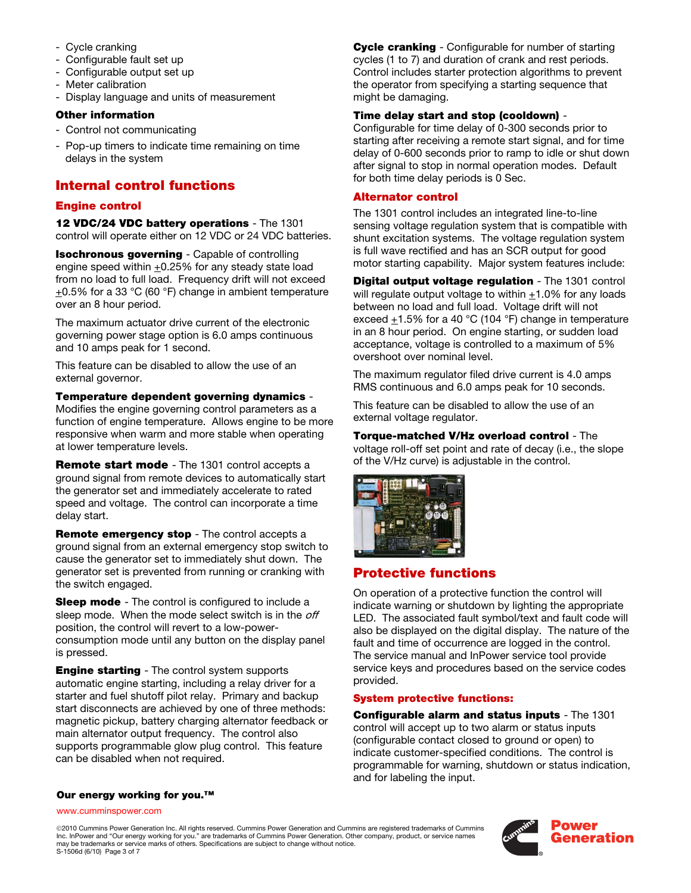- Cycle cranking
- Configurable fault set up
- Configurable output set up
- Meter calibration
- Display language and units of measurement

## Other information

- Control not communicating
- Pop-up timers to indicate time remaining on time delays in the system

# Internal control functions

## Engine control

12 VDC/24 VDC battery operations - The 1301 control will operate either on 12 VDC or 24 VDC batteries.

Isochronous governing - Capable of controlling engine speed within  $+0.25%$  for any steady state load from no load to full load. Frequency drift will not exceed  $\pm$ 0.5% for a 33 °C (60 °F) change in ambient temperature over an 8 hour period.

The maximum actuator drive current of the electronic governing power stage option is 6.0 amps continuous and 10 amps peak for 1 second.

This feature can be disabled to allow the use of an external governor.

Temperature dependent governing dynamics - Modifies the engine governing control parameters as a function of engine temperature. Allows engine to be more responsive when warm and more stable when operating at lower temperature levels.

Remote start mode - The 1301 control accepts a ground signal from remote devices to automatically start the generator set and immediately accelerate to rated speed and voltage. The control can incorporate a time delay start.

Remote emergency stop - The control accepts a ground signal from an external emergency stop switch to cause the generator set to immediately shut down. The generator set is prevented from running or cranking with the switch engaged.

**Sleep mode** - The control is configured to include a sleep mode. When the mode select switch is in the off position, the control will revert to a low-powerconsumption mode until any button on the display panel is pressed.

**Engine starting** - The control system supports automatic engine starting, including a relay driver for a starter and fuel shutoff pilot relay. Primary and backup start disconnects are achieved by one of three methods: magnetic pickup, battery charging alternator feedback or main alternator output frequency. The control also supports programmable glow plug control. This feature can be disabled when not required.

**Cycle cranking** - Configurable for number of starting cycles (1 to 7) and duration of crank and rest periods. Control includes starter protection algorithms to prevent the operator from specifying a starting sequence that might be damaging.

## Time delay start and stop (cooldown) -

Configurable for time delay of 0-300 seconds prior to starting after receiving a remote start signal, and for time delay of 0-600 seconds prior to ramp to idle or shut down after signal to stop in normal operation modes. Default for both time delay periods is 0 Sec.

## Alternator control

The 1301 control includes an integrated line-to-line sensing voltage regulation system that is compatible with shunt excitation systems. The voltage regulation system is full wave rectified and has an SCR output for good motor starting capability. Major system features include:

Digital output voltage regulation - The 1301 control will regulate output voltage to within  $+1.0\%$  for any loads between no load and full load. Voltage drift will not exceed  $\pm$ 1.5% for a 40 °C (104 °F) change in temperature in an 8 hour period. On engine starting, or sudden load acceptance, voltage is controlled to a maximum of 5% overshoot over nominal level.

The maximum regulator filed drive current is 4.0 amps RMS continuous and 6.0 amps peak for 10 seconds.

This feature can be disabled to allow the use of an external voltage regulator.

Torque-matched V/Hz overload control - The voltage roll-off set point and rate of decay (i.e., the slope of the V/Hz curve) is adjustable in the control.



# Protective functions

On operation of a protective function the control will indicate warning or shutdown by lighting the appropriate LED. The associated fault symbol/text and fault code will also be displayed on the digital display. The nature of the fault and time of occurrence are logged in the control. The service manual and InPower service tool provide service keys and procedures based on the service codes provided.

## System protective functions:

Configurable alarm and status inputs - The 1301 control will accept up to two alarm or status inputs (configurable contact closed to ground or open) to indicate customer-specified conditions. The control is programmable for warning, shutdown or status indication, and for labeling the input.

#### Our energy working for you.<sup>™</sup>

www.cumminspower.com

©2010 Cummins Power Generation Inc. All rights reserved. Cummins Power Generation and Cummins are registered trademarks of Cummins Inc. InPower and "Our energy working for you." are trademarks of Cummins Power Generation. Other company, product, or service names may be trademarks or service marks of others. Specifications are subject to change without notice. S-1506d (6/10) Page 3 of 7

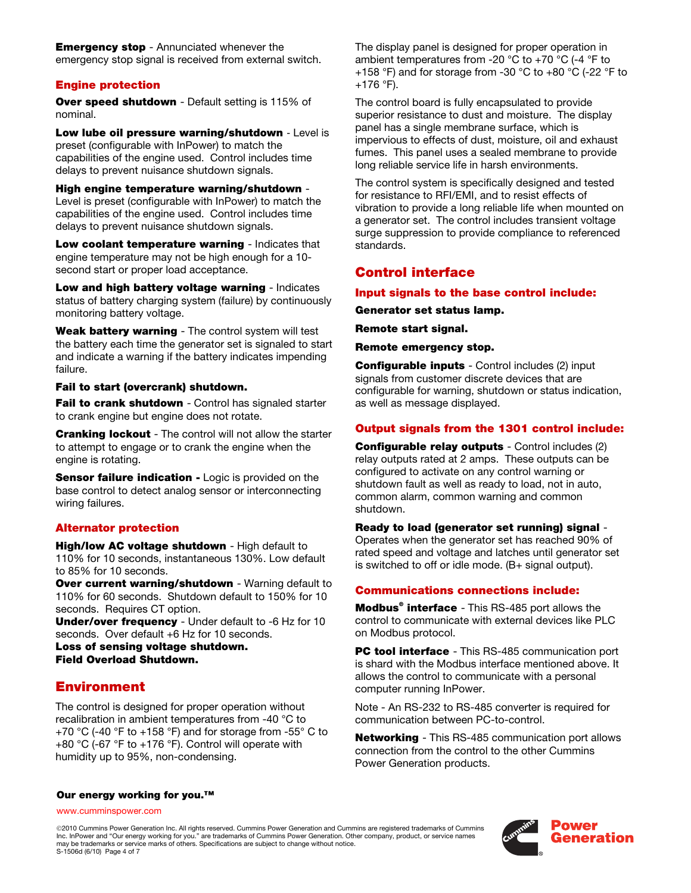**Emergency stop** - Annunciated whenever the emergency stop signal is received from external switch.

## Engine protection

**Over speed shutdown** - Default setting is 115% of nominal.

Low lube oil pressure warning/shutdown - Level is preset (configurable with InPower) to match the capabilities of the engine used. Control includes time delays to prevent nuisance shutdown signals.

High engine temperature warning/shutdown - Level is preset (configurable with InPower) to match the capabilities of the engine used. Control includes time delays to prevent nuisance shutdown signals.

Low coolant temperature warning - Indicates that engine temperature may not be high enough for a 10 second start or proper load acceptance.

Low and high battery voltage warning - Indicates status of battery charging system (failure) by continuously monitoring battery voltage.

Weak battery warning - The control system will test the battery each time the generator set is signaled to start and indicate a warning if the battery indicates impending failure.

#### Fail to start (overcrank) shutdown.

Fail to crank shutdown - Control has signaled starter to crank engine but engine does not rotate.

**Cranking lockout** - The control will not allow the starter to attempt to engage or to crank the engine when the engine is rotating.

**Sensor failure indication - Logic is provided on the** base control to detect analog sensor or interconnecting wiring failures.

#### Alternator protection

High/low AC voltage shutdown - High default to 110% for 10 seconds, instantaneous 130%. Low default to 85% for 10 seconds.

Over current warning/shutdown - Warning default to 110% for 60 seconds. Shutdown default to 150% for 10 seconds. Requires CT option.

Under/over frequency - Under default to -6 Hz for 10 seconds. Over default +6 Hz for 10 seconds.

Loss of sensing voltage shutdown. Field Overload Shutdown.

## Environment

The control is designed for proper operation without recalibration in ambient temperatures from -40 °C to +70 °C (-40 °F to +158 °F) and for storage from -55° C to +80 °C (-67 °F to +176 °F). Control will operate with humidity up to 95%, non-condensing.

 The display panel is designed for proper operation in ambient temperatures from -20 °C to +70 °C (-4 °F to +158 °F) and for storage from -30 °C to +80 °C (-22 °F to +176 °F).

The control board is fully encapsulated to provide superior resistance to dust and moisture. The display panel has a single membrane surface, which is impervious to effects of dust, moisture, oil and exhaust fumes. This panel uses a sealed membrane to provide long reliable service life in harsh environments.

The control system is specifically designed and tested for resistance to RFI/EMI, and to resist effects of vibration to provide a long reliable life when mounted on a generator set. The control includes transient voltage surge suppression to provide compliance to referenced standards.

## Control interface

#### Input signals to the base control include:

#### Generator set status lamp.

Remote start signal.

Remote emergency stop.

Configurable inputs - Control includes (2) input signals from customer discrete devices that are configurable for warning, shutdown or status indication, as well as message displayed.

## Output signals from the 1301 control include:

Configurable relay outputs - Control includes (2) relay outputs rated at 2 amps. These outputs can be configured to activate on any control warning or shutdown fault as well as ready to load, not in auto, common alarm, common warning and common shutdown.

Ready to load (generator set running) signal -

Operates when the generator set has reached 90% of rated speed and voltage and latches until generator set is switched to off or idle mode. (B+ signal output).

## Communications connections include:

Modbus<sup>®</sup> interface - This RS-485 port allows the control to communicate with external devices like PLC on Modbus protocol.

**PC tool interface** - This RS-485 communication port is shard with the Modbus interface mentioned above. It allows the control to communicate with a personal computer running InPower.

Note - An RS-232 to RS-485 converter is required for communication between PC-to-control.

**Networking** - This RS-485 communication port allows connection from the control to the other Cummins Power Generation products.

#### Our energy working for you.<sup>™</sup>

www.cumminspower.com

©2010 Cummins Power Generation Inc. All rights reserved. Cummins Power Generation and Cummins are registered trademarks of Cummins Inc. InPower and "Our energy working for you." are trademarks of Cummins Power Generation. Other company, product, or service names may be trademarks or service marks of others. Specifications are subject to change without notice. S-1506d (6/10) Page 4 of 7

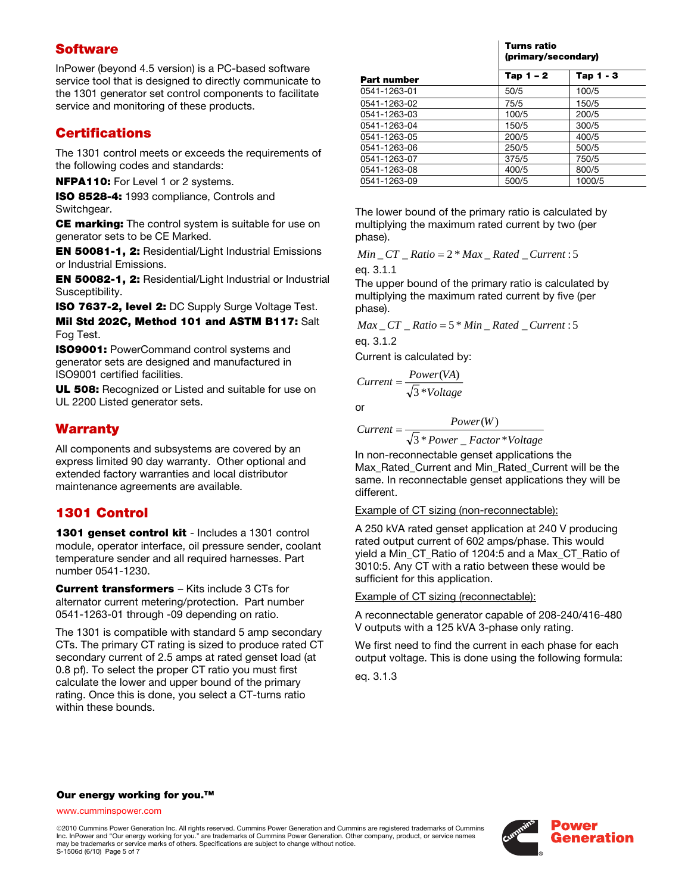# **Software**

InPower (beyond 4.5 version) is a PC-based software service tool that is designed to directly communicate to the 1301 generator set control components to facilitate service and monitoring of these products.

# **Certifications**

The 1301 control meets or exceeds the requirements of the following codes and standards:

NFPA110: For Level 1 or 2 systems.

ISO 8528-4: 1993 compliance, Controls and Switchgear.

CE marking: The control system is suitable for use on generator sets to be CE Marked.

EN 50081-1, 2: Residential/Light Industrial Emissions or Industrial Emissions.

EN 50082-1, 2: Residential/Light Industrial or Industrial Susceptibility.

ISO 7637-2, level 2: DC Supply Surge Voltage Test.

Mil Std 202C, Method 101 and ASTM B117: Salt Fog Test.

ISO9001: PowerCommand control systems and generator sets are designed and manufactured in ISO9001 certified facilities.

UL 508: Recognized or Listed and suitable for use on UL 2200 Listed generator sets.

# **Warranty**

All components and subsystems are covered by an express limited 90 day warranty. Other optional and extended factory warranties and local distributor maintenance agreements are available.

# 1301 Control

1301 genset control kit - Includes a 1301 control module, operator interface, oil pressure sender, coolant temperature sender and all required harnesses. Part number 0541-1230.

Current transformers – Kits include 3 CTs for alternator current metering/protection. Part number 0541-1263-01 through -09 depending on ratio.

The 1301 is compatible with standard 5 amp secondary CTs. The primary CT rating is sized to produce rated CT secondary current of 2.5 amps at rated genset load (at 0.8 pf). To select the proper CT ratio you must first calculate the lower and upper bound of the primary rating. Once this is done, you select a CT-turns ratio within these bounds.

|                    | Turns ratio<br>(primary/secondary) |             |
|--------------------|------------------------------------|-------------|
| <b>Part number</b> | Tap $1 - 2$                        | Tap $1 - 3$ |
| 0541-1263-01       | 50/5                               | 100/5       |
| 0541-1263-02       | 75/5                               | 150/5       |
| 0541-1263-03       | 100/5                              | 200/5       |
| 0541-1263-04       | 150/5                              | 300/5       |
| 0541-1263-05       | 200/5                              | 400/5       |
| 0541-1263-06       | 250/5                              | 500/5       |
| 0541-1263-07       | 375/5                              | 750/5       |
| 0541-1263-08       | 400/5                              | 800/5       |
| 0541-1263-09       | 500/5                              | 1000/5      |

The lower bound of the primary ratio is calculated by multiplying the maximum rated current by two (per phase).

 $Min\_CT\_Ratio = 2 * Max\_Rate$ *d*  $_$ 

eq. 3.1.1

The upper bound of the primary ratio is calculated by multiplying the maximum rated current by five (per phase).

 $Max\_CT\_Ratio = 5 * Min\_Rated\_Current:5$ 

eq. 3.1.2

Current is calculated by:

$$
Current = \frac{Power(VA)}{\sqrt{3} * Voltage}
$$

or

$$
Current = \frac{Power(W)}{\sqrt{3} * Power\_Factor * Voltage}
$$

In non-reconnectable genset applications the Max, Rated, Current and Min, Rated, Current will be the same. In reconnectable genset applications they will be different.

Example of CT sizing (non-reconnectable):

A 250 kVA rated genset application at 240 V producing rated output current of 602 amps/phase. This would yield a Min\_CT\_Ratio of 1204:5 and a Max\_CT\_Ratio of 3010:5. Any CT with a ratio between these would be sufficient for this application.

#### Example of CT sizing (reconnectable):

A reconnectable generator capable of 208-240/416-480 V outputs with a 125 kVA 3-phase only rating.

We first need to find the current in each phase for each output voltage. This is done using the following formula:

eq. 3.1.3

## Our energy working for you.<sup>™</sup>

www.cumminspower.com

©2010 Cummins Power Generation Inc. All rights reserved. Cummins Power Generation and Cummins are registered trademarks of Cummins Inc. InPower and "Our energy working for you." are trademarks of Cummins Power Generation. Other company, product, or service names may be trademarks or service marks of others. Specifications are subject to change without notice. S-1506d (6/10) Page 5 of 7

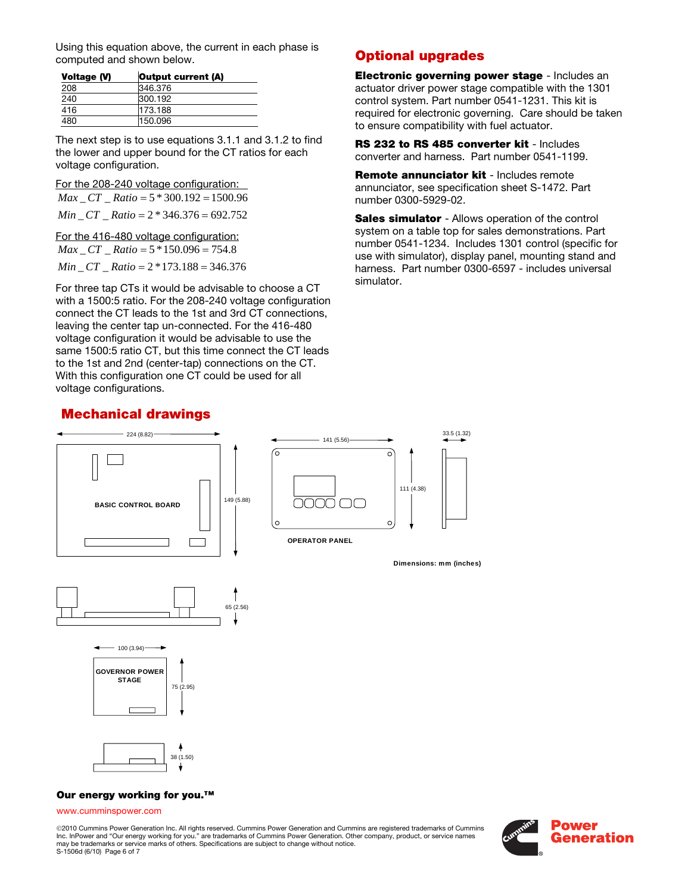Using this equation above, the current in each phase is computed and shown below.

| Voltage (V) | Output current (A) |
|-------------|--------------------|
| 208         | 346.376            |
| 240         | 300.192            |
| 416         | 173.188            |
| 480         | 150.096            |

The next step is to use equations 3.1.1 and 3.1.2 to find the lower and upper bound for the CT ratios for each voltage configuration.

For the 208-240 voltage configuration:

*Max* \_ *CT* \_ *Ratio* = 5 \* 300.192 = 1500.96 *Min* \_ *CT* \_ *Ratio* = 2 \* 346.376 = 692.752

For the 416-480 voltage configuration: *Max* \_*CT* \_ *Ratio* = 5 \*150.096 = 754.8 *Min* \_ *CT* \_ *Ratio* = 2 \*173.188 = 346.376

For three tap CTs it would be advisable to choose a CT with a 1500:5 ratio. For the 208-240 voltage configuration connect the CT leads to the 1st and 3rd CT connections, leaving the center tap un-connected. For the 416-480 voltage configuration it would be advisable to use the same 1500:5 ratio CT, but this time connect the CT leads to the 1st and 2nd (center-tap) connections on the CT. With this configuration one CT could be used for all voltage configurations.

# Mechanical drawings



Electronic governing power stage - Includes an actuator driver power stage compatible with the 1301 control system. Part number 0541-1231. This kit is required for electronic governing. Care should be taken to ensure compatibility with fuel actuator.

RS 232 to RS 485 converter kit - Includes converter and harness. Part number 0541-1199.

Remote annunciator kit - Includes remote annunciator, see specification sheet S-1472. Part number 0300-5929-02.

**Sales simulator** - Allows operation of the control system on a table top for sales demonstrations. Part number 0541-1234. Includes 1301 control (specific for use with simulator), display panel, mounting stand and harness. Part number 0300-6597 - includes universal simulator.



©2010 Cummins Power Generation Inc. All rights reserved. Cummins Power Generation and Cummins are registered trademarks of Cummins Inc. InPower and "Our energy working for you." are trademarks of Cummins Power Generation. Other company, product, or service names may be trademarks or service marks of others. Specifications are subject to change without notice. S-1506d (6/10) Page 6 of 7